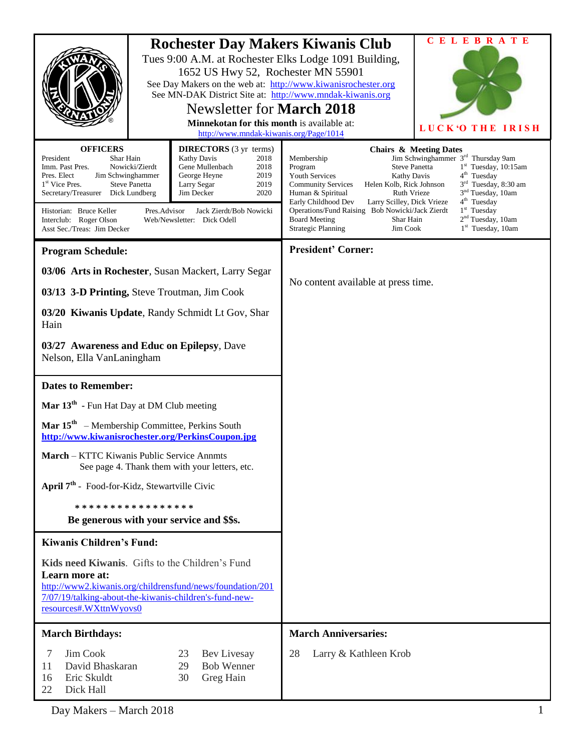| <b>Rochester Day Makers Kiwanis Club</b><br>Tues 9:00 A.M. at Rochester Elks Lodge 1091 Building,<br>1652 US Hwy 52, Rochester MN 55901<br>See Day Makers on the web at: http://www.kiwanisrochester.org<br>See MN-DAK District Site at: http://www.mndak-kiwanis.org<br>Newsletter for <b>March 2018</b><br>Minnekotan for this month is available at:<br>http://www.mndak-kiwanis.org/Page/1014                                                                                                                                  |  |                                                                 | <b>CELEBRATE</b><br>LUCK'O THE IRISH                                                                                                                                                                                                                                                                                                                                                                                                                                                                                                                                                                                                                                                     |
|------------------------------------------------------------------------------------------------------------------------------------------------------------------------------------------------------------------------------------------------------------------------------------------------------------------------------------------------------------------------------------------------------------------------------------------------------------------------------------------------------------------------------------|--|-----------------------------------------------------------------|------------------------------------------------------------------------------------------------------------------------------------------------------------------------------------------------------------------------------------------------------------------------------------------------------------------------------------------------------------------------------------------------------------------------------------------------------------------------------------------------------------------------------------------------------------------------------------------------------------------------------------------------------------------------------------------|
| <b>OFFICERS</b><br><b>DIRECTORS</b> (3 yr terms)<br>Kathy Davis<br>President<br>Shar Hain<br>2018<br>Gene Mullenbach<br>Imm. Past Pres.<br>Nowicki/Zierdt<br>2018<br>Pres. Elect<br>Jim Schwinghammer<br>George Heyne<br>2019<br>1 <sup>st</sup> Vice Pres.<br><b>Steve Panetta</b><br>Larry Segar<br>2019<br>2020<br>Secretary/Treasurer Dick Lundberg<br>Jim Decker<br>Historian: Bruce Keller<br>Pres.Advisor<br>Jack Zierdt/Bob Nowicki<br>Interclub: Roger Olson<br>Web/Newsletter: Dick Odell<br>Asst Sec./Treas: Jim Decker |  |                                                                 | <b>Chairs &amp; Meeting Dates</b><br>Jim Schwinghammer 3 <sup>rd</sup> Thursday 9am<br>Membership<br><b>Steve Panetta</b><br>$1st$ Tuesday, 10:15am<br>Program<br>4 <sup>th</sup> Tuesday<br><b>Youth Services</b><br>Kathy Davis<br>3 <sup>rd</sup> Tuesday, 8:30 am<br>Helen Kolb, Rick Johnson<br><b>Community Services</b><br>3 <sup>nd</sup> Tuesday, 10am<br><b>Ruth Vrieze</b><br>Human & Spiritual<br>4 <sup>th</sup> Tuesday<br>Early Childhood Dev<br>Larry Scilley, Dick Vrieze<br>$1st$ Tuesday<br>Operations/Fund Raising Bob Nowicki/Jack Zierdt<br>$2nd$ Tuesday, 10am<br>Shar Hain<br><b>Board Meeting</b><br>1st Tuesday, 10am<br><b>Strategic Planning</b><br>Jim Cook |
| <b>Program Schedule:</b>                                                                                                                                                                                                                                                                                                                                                                                                                                                                                                           |  |                                                                 | <b>President' Corner:</b>                                                                                                                                                                                                                                                                                                                                                                                                                                                                                                                                                                                                                                                                |
| 03/06 Arts in Rochester, Susan Mackert, Larry Segar<br>03/13 3-D Printing, Steve Troutman, Jim Cook<br>03/20 Kiwanis Update, Randy Schmidt Lt Gov, Shar<br>Hain<br>03/27 Awareness and Educ on Epilepsy, Dave<br>Nelson, Ella VanLaningham                                                                                                                                                                                                                                                                                         |  |                                                                 | No content available at press time.                                                                                                                                                                                                                                                                                                                                                                                                                                                                                                                                                                                                                                                      |
| <b>Dates to Remember:</b>                                                                                                                                                                                                                                                                                                                                                                                                                                                                                                          |  |                                                                 |                                                                                                                                                                                                                                                                                                                                                                                                                                                                                                                                                                                                                                                                                          |
| Mar $13th$ - Fun Hat Day at DM Club meeting                                                                                                                                                                                                                                                                                                                                                                                                                                                                                        |  |                                                                 |                                                                                                                                                                                                                                                                                                                                                                                                                                                                                                                                                                                                                                                                                          |
| <b>Mar 15<sup>th</sup></b> – Membership Committee, Perkins South<br>http://www.kiwanisrochester.org/PerkinsCoupon.jpg                                                                                                                                                                                                                                                                                                                                                                                                              |  |                                                                 |                                                                                                                                                                                                                                                                                                                                                                                                                                                                                                                                                                                                                                                                                          |
| March - KTTC Kiwanis Public Service Annmts<br>See page 4. Thank them with your letters, etc.                                                                                                                                                                                                                                                                                                                                                                                                                                       |  |                                                                 |                                                                                                                                                                                                                                                                                                                                                                                                                                                                                                                                                                                                                                                                                          |
| April 7 <sup>th</sup> - Food-for-Kidz, Stewartville Civic                                                                                                                                                                                                                                                                                                                                                                                                                                                                          |  |                                                                 |                                                                                                                                                                                                                                                                                                                                                                                                                                                                                                                                                                                                                                                                                          |
| * * * * * * * * * * * * * * * * *<br>Be generous with your service and \$\$s.                                                                                                                                                                                                                                                                                                                                                                                                                                                      |  |                                                                 |                                                                                                                                                                                                                                                                                                                                                                                                                                                                                                                                                                                                                                                                                          |
| <b>Kiwanis Children's Fund:</b>                                                                                                                                                                                                                                                                                                                                                                                                                                                                                                    |  |                                                                 |                                                                                                                                                                                                                                                                                                                                                                                                                                                                                                                                                                                                                                                                                          |
| Kids need Kiwanis. Gifts to the Children's Fund<br>Learn more at:<br>http://www2.kiwanis.org/childrensfund/news/foundation/201<br>7/07/19/talking-about-the-kiwanis-children's-fund-new-<br>resources#.WXttnWyovs0                                                                                                                                                                                                                                                                                                                 |  |                                                                 |                                                                                                                                                                                                                                                                                                                                                                                                                                                                                                                                                                                                                                                                                          |
| <b>March Birthdays:</b>                                                                                                                                                                                                                                                                                                                                                                                                                                                                                                            |  |                                                                 | <b>March Anniversaries:</b>                                                                                                                                                                                                                                                                                                                                                                                                                                                                                                                                                                                                                                                              |
| 7<br>Jim Cook<br>11<br>David Bhaskaran<br>Eric Skuldt<br>16<br>Dick Hall<br>22                                                                                                                                                                                                                                                                                                                                                                                                                                                     |  | 23<br>Bev Livesay<br>29<br><b>Bob Wenner</b><br>Greg Hain<br>30 | 28<br>Larry & Kathleen Krob                                                                                                                                                                                                                                                                                                                                                                                                                                                                                                                                                                                                                                                              |

Day Makers – March 2018 1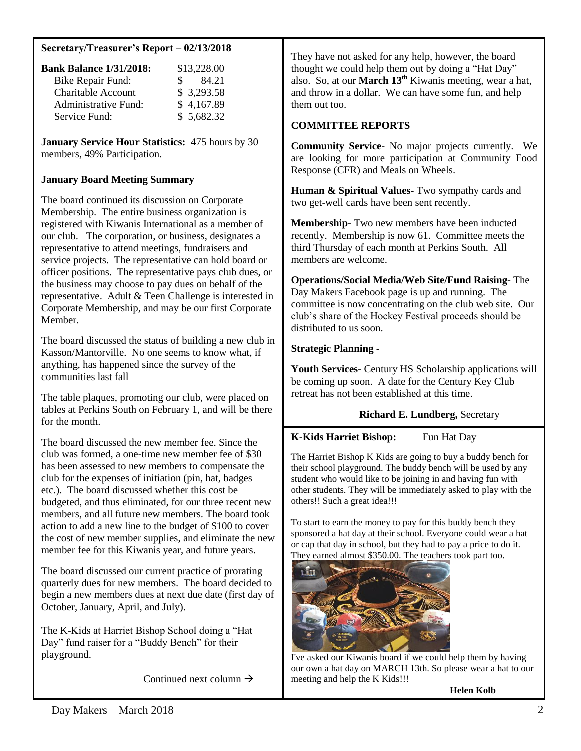### **Secretary/Treasurer's Report – 02/13/2018**

| <b>Bank Balance 1/31/2018:</b> | \$13,228.00  |
|--------------------------------|--------------|
| <b>Bike Repair Fund:</b>       | 84.21<br>SS. |
| <b>Charitable Account</b>      | \$3,293.58   |
| Administrative Fund:           | \$4,167.89   |
| Service Fund:                  | \$5,682.32   |

**January Service Hour Statistics:** 475 hours by 30 members, 49% Participation.

### **January Board Meeting Summary**

The board continued its discussion on Corporate Membership. The entire business organization is registered with Kiwanis International as a member of our club. The corporation, or business, designates a representative to attend meetings, fundraisers and service projects. The representative can hold board or officer positions. The representative pays club dues, or the business may choose to pay dues on behalf of the representative. Adult & Teen Challenge is interested in Corporate Membership, and may be our first Corporate Member.

The board discussed the status of building a new club in Kasson/Mantorville. No one seems to know what, if anything, has happened since the survey of the communities last fall

The table plaques, promoting our club, were placed on tables at Perkins South on February 1, and will be there for the month.

The board discussed the new member fee. Since the club was formed, a one-time new member fee of \$30 has been assessed to new members to compensate the club for the expenses of initiation (pin, hat, badges etc.). The board discussed whether this cost be budgeted, and thus eliminated, for our three recent new members, and all future new members. The board took action to add a new line to the budget of \$100 to cover the cost of new member supplies, and eliminate the new member fee for this Kiwanis year, and future years.

The board discussed our current practice of prorating quarterly dues for new members. The board decided to begin a new members dues at next due date (first day of October, January, April, and July).

The K-Kids at Harriet Bishop School doing a "Hat Day" fund raiser for a "Buddy Bench" for their playground.

Continued next column  $\rightarrow$ 

They have not asked for any help, however, the board thought we could help them out by doing a "Hat Day" also. So, at our **March 13th** Kiwanis meeting, wear a hat, and throw in a dollar. We can have some fun, and help them out too.

# **COMMITTEE REPORTS**

**Community Service-** No major projects currently. We are looking for more participation at Community Food Response (CFR) and Meals on Wheels.

**Human & Spiritual Values-** Two sympathy cards and two get-well cards have been sent recently.

**Membership-** Two new members have been inducted recently. Membership is now 61. Committee meets the third Thursday of each month at Perkins South. All members are welcome.

**Operations/Social Media/Web Site/Fund Raising-** The Day Makers Facebook page is up and running. The committee is now concentrating on the club web site. Our club's share of the Hockey Festival proceeds should be distributed to us soon.

### **Strategic Planning -**

**Youth Services-** Century HS Scholarship applications will be coming up soon. A date for the Century Key Club retreat has not been established at this time.

### **Richard E. Lundberg,** Secretary

# **K-Kids Harriet Bishop:** Fun Hat Day

The Harriet Bishop K Kids are going to buy a buddy bench for their school playground. The buddy bench will be used by any student who would like to be joining in and having fun with other students. They will be immediately asked to play with the others!! Such a great idea!!!

To start to earn the money to pay for this buddy bench they sponsored a hat day at their school. Everyone could wear a hat or cap that day in school, but they had to pay a price to do it. They earned almost \$350.00. The teachers took part too.



I've asked our Kiwanis board if we could help them by having our own a hat day on MARCH 13th. So please wear a hat to our meeting and help the K Kids!!!

 **Helen Kolb**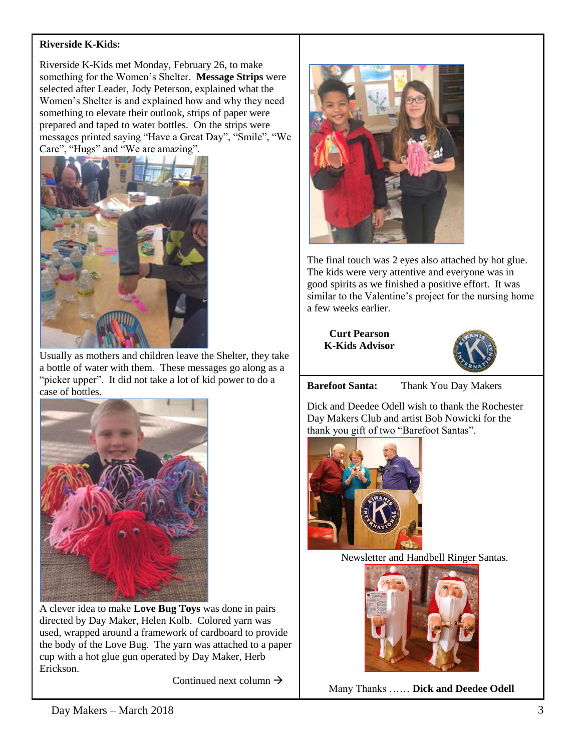# **Riverside K-Kids:**

Riverside K-Kids met Monday, February 26, to make something for the Women's Shelter. **Message Strips** were selected after Leader, Jody Peterson, explained what the Women's Shelter is and explained how and why they need something to elevate their outlook, strips of paper were prepared and taped to water bottles. On the strips were messages printed saying "Have a Great Day", "Smile", "We Care", "Hugs" and "We are amazing".



Usually as mothers and children leave the Shelter, they take a bottle of water with them. These messages go along as a "picker upper". It did not take a lot of kid power to do a case of bottles.



A clever idea to make **Love Bug Toys** was done in pairs directed by Day Maker, Helen Kolb. Colored yarn was used, wrapped around a framework of cardboard to provide the body of the Love Bug. The yarn was attached to a paper cup with a hot glue gun operated by Day Maker, Herb Erickson.

Continued next column  $\rightarrow$ 



The final touch was 2 eyes also attached by hot glue. The kids were very attentive and everyone was in good spirits as we finished a positive effort. It was similar to the Valentine's project for the nursing home a few weeks earlier.

**Curt Pearson K-Kids Advisor**



**Barefoot Santa:** Thank You Day Makers

Dick and Deedee Odell wish to thank the Rochester Day Makers Club and artist Bob Nowicki for the thank you gift of two "Barefoot Santas".



Newsletter and Handbell Ringer Santas.



Many Thanks …… **Dick and Deedee Odell**